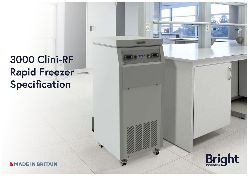# **3000 Clini-RF Rapid Freezer Specification**

P.

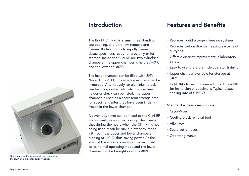The Bright Clini-RF is a small, free standing, top opening, and ultra low temperature freezer. Its function is to rapidly freeze tissue specimens ready for cryotomy or for storage. Inside the Clini-RF are two cylindrical chambers, the upper chamber is held at -40°C and the lower at -80°C.

The lower chamber can be filled with 3M's Novec HFE-7100, into which specimens can be immersed. Alternatively, an aluminium block can be incorporated into which a specimen holder or chuck can be fitted. The upper chamber is used as a short term storage area for specimens after they have been initially frozen in the lower chamber.

A seven day timer can be fitted to the Clini-RF and is available as an accessory. This means that during the hours when the Clini-RF is not being used it can be run in a 'standby' mode with both the upper and lower chambers running at -40°C, thus saving power. At the start of the working day it can be switched to its normal operating mode and the lower chamber can be brought down to -80°C.

## **Introduction Features and Benefits**

- Replaces liquid nitrogen freezing systems
- Replaces carbon dioxide freezing systems of all types
- Offers a distinct improvement in laboratory safety
- Easy to use, therefore little operator training
- Upper chamber available for storage at  $-40^{\circ}$ C
- Hold 3M's Novec Engineered Fluid HFR-7100 for immersion of specimens Typical tissue cooling rate of 0.5°C/s

#### **Standard accessories include:**

- Cryo-M-Bed
- Cooling block removal tool
- Allen key
- Spare set of fuses
- Operating manual



The lower chamber is pictured here containing the aluminium block for quick freezing.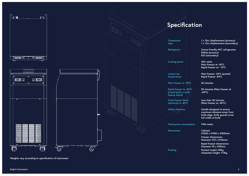

**Weights vary according to specification of instrument**

 $A\subset \mathbb{R}$  and  $A\subset \mathbb{R}$  and  $A\subset \mathbb{R}$  and  $A\subset \mathbb{R}$  and  $A\subset \mathbb{R}$  and  $A\subset \mathbb{R}$  and  $A\subset \mathbb{R}$  and

 $A_{\rm{NLO}}$  and  $A_{\rm{NLO}}$  and  $A_{\rm{NLO}}$  and  $A_{\rm{NLO}}$  and  $A_{\rm{NLO}}$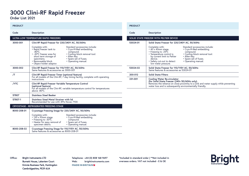# **3000 Clini-RF Rapid Freezer**

**Order List 202**1

| <b>PRODUCT</b>                                 |                                                                                                                                                                                                                                                                                                                                                               |
|------------------------------------------------|---------------------------------------------------------------------------------------------------------------------------------------------------------------------------------------------------------------------------------------------------------------------------------------------------------------------------------------------------------------|
| Code                                           | Description                                                                                                                                                                                                                                                                                                                                                   |
|                                                | ULTRA LOW TEMPERATURE RAPID FREEZERS                                                                                                                                                                                                                                                                                                                          |
| 3000-001                                       | Clini-RF Rapid Freezer for 220/240V AC, 50/60Hz                                                                                                                                                                                                                                                                                                               |
|                                                | Standard accessories include:<br>Complete with:<br>• Rapid freezer tank to<br>• Cryo-M-Bed embedding.<br>$-80^{\circ}$ C.<br>compound.<br>• -30°C freezer area for<br>• Cooling block removal tool.<br>short term storage of<br>• Allen Key.<br>• Spare set of fuses.<br>specimens.<br>• Removeable block.<br>• Operating manual.<br>• Object holder adaptor. |
| 3000-002                                       | Clini-RF Rapid Freezer for 110/115V AC, 50/60Hz<br>Same features & accessories as 3000-001                                                                                                                                                                                                                                                                    |
| /T                                             | Clini-RF Rapid Freezer Timer (optional feature)<br>For all models of the Clini-RF, 7 day timing facility, complete with operating<br>instructions.                                                                                                                                                                                                            |
| /VTC                                           | Clini-RF Rapid Freezer Variable Temperature Control<br>(optional feature)<br>For all models of the Clini-RF, variable temperature control for temperatures<br>above -80°C.                                                                                                                                                                                    |
| 57807                                          | <b>Stainless Steel Beaker</b>                                                                                                                                                                                                                                                                                                                                 |
| 57807-1                                        | <b>Stainless Steel Metal Strainer with lid</b><br>Recommended for use with 3M's Novec 7100                                                                                                                                                                                                                                                                    |
| <b>CRYOSTAGE - REFRIGERATED FREEZING STAGE</b> |                                                                                                                                                                                                                                                                                                                                                               |
| 8000-208-01                                    | Cryostage Freezing Stage for 220/240V AC, 50/60Hz                                                                                                                                                                                                                                                                                                             |
|                                                | Complete with:<br>Standard accessories include:<br>• 130 x 90mm stage.<br>• Cryo-M-Bed embedding.<br>• Freezing to -30°C.<br>compound.<br>• Spare set of fuses.<br>• Heater for easy removal of<br>specimen debris.<br>• Operating manual.                                                                                                                    |
| 8000-208-02                                    | Cryostage Freezing Stage for 110/115V AC, 50/60Hz<br>Same features & accessories as 8000-208-01                                                                                                                                                                                                                                                               |

#### **PRODUCT**

| <b>Description</b>                                                                                                                                                                                                                                                                                                                                                     |  |  |
|------------------------------------------------------------------------------------------------------------------------------------------------------------------------------------------------------------------------------------------------------------------------------------------------------------------------------------------------------------------------|--|--|
| SOLID STATE FREEZER WITH PELTIER DEVICE                                                                                                                                                                                                                                                                                                                                |  |  |
| Solid State Freezer for 220/240V AC, 50/60Hz                                                                                                                                                                                                                                                                                                                           |  |  |
| Standard accessories include:<br>Complete with:<br>$\cdot$ 40 x 40mm stage.<br>• Cryo-M-Bed embedding.<br>• Freezing to -25°C<br>compound.<br>• Cooling block removal tool.<br>• Temperature control is<br>by current limit to Peltier<br>• Allen Key.<br>• Spare set of fuses.<br>device.<br>• Safety cut-out to detect<br>• Operating manual.<br>low water pressure. |  |  |
| Solid State Freezer for 110/115V AC, 50/60Hz<br>Same features & accessories as 53024-01                                                                                                                                                                                                                                                                                |  |  |
| <b>Solid State Filters</b>                                                                                                                                                                                                                                                                                                                                             |  |  |
| <b>Cooling Water Re-circulator</b><br>(for Solid State Freezer (240v 50/60Hz only).<br>Removes the reliance on close proximity to a sink and water supply while preventing<br>water loss and is subsequently environmentally friendly.                                                                                                                                 |  |  |
|                                                                                                                                                                                                                                                                                                                                                                        |  |  |

**Office:** Bright Instruments LTD Burnett House, Lakeview Court Ermnie Business Park, Huntingdon Cambridgeshire, PE29 6UA

**Telephone: +44 (0) 808 168 9697 Web: brightinstruments.comMADE IN BRITAINS** 

**\*Included in standard order | \*\*Not included in overseas orders. VAT not included - E & OE**